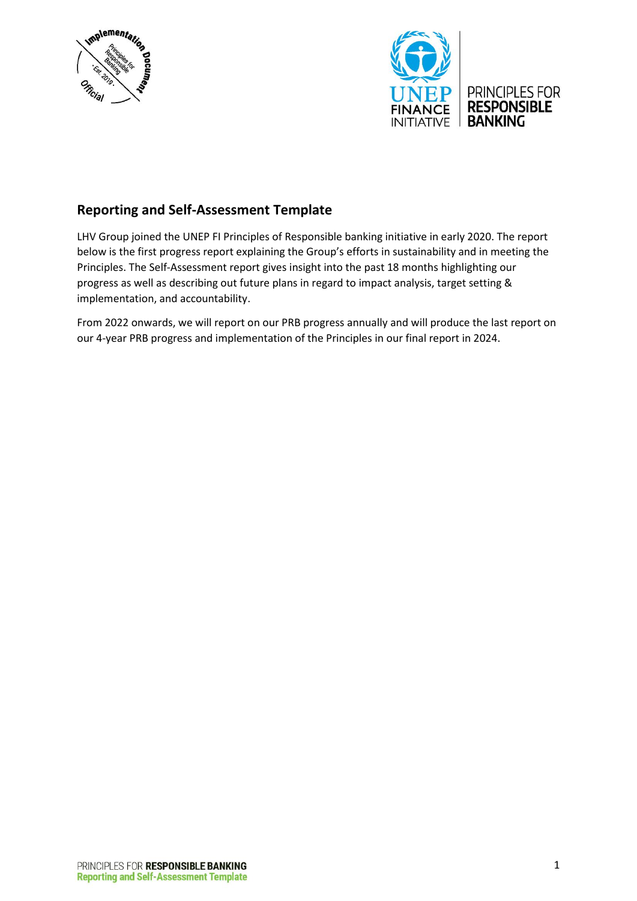



### **Reporting and Self-Assessment Template**

LHV Group joined the UNEP FI Principles of Responsible banking initiative in early 2020. The report below is the first progress report explaining the Group's efforts in sustainability and in meeting the Principles. The Self-Assessment report gives insight into the past 18 months highlighting our progress as well as describing out future plans in regard to impact analysis, target setting & implementation, and accountability.

From 2022 onwards, we will report on our PRB progress annually and will produce the last report on our 4-year PRB progress and implementation of the Principles in our final report in 2024.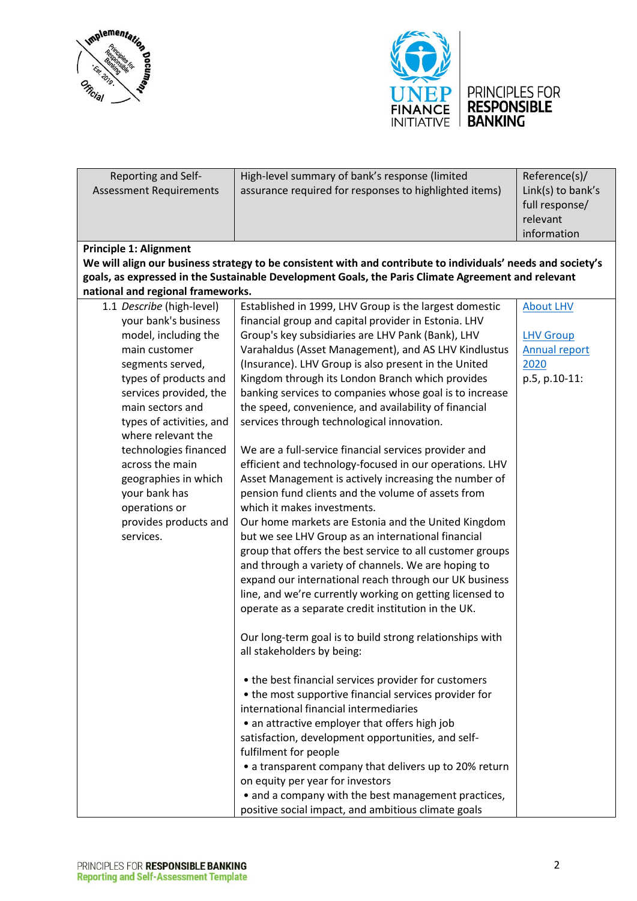



| PRINCIPLES FOR     |
|--------------------|
| <b>RESPONSIBLE</b> |
| <b>BANKING</b>     |

| Reporting and Self-               | High-level summary of bank's response (limited                                                               | Reference(s)/        |
|-----------------------------------|--------------------------------------------------------------------------------------------------------------|----------------------|
| <b>Assessment Requirements</b>    | assurance required for responses to highlighted items)                                                       | Link(s) to bank's    |
|                                   |                                                                                                              |                      |
|                                   |                                                                                                              | full response/       |
|                                   |                                                                                                              | relevant             |
|                                   |                                                                                                              | information          |
| <b>Principle 1: Alignment</b>     |                                                                                                              |                      |
|                                   | We will align our business strategy to be consistent with and contribute to individuals' needs and society's |                      |
|                                   | goals, as expressed in the Sustainable Development Goals, the Paris Climate Agreement and relevant           |                      |
| national and regional frameworks. |                                                                                                              |                      |
| 1.1 Describe (high-level)         | Established in 1999, LHV Group is the largest domestic                                                       | <b>About LHV</b>     |
| your bank's business              | financial group and capital provider in Estonia. LHV                                                         |                      |
| model, including the              | Group's key subsidiaries are LHV Pank (Bank), LHV                                                            | <b>LHV Group</b>     |
| main customer                     | Varahaldus (Asset Management), and AS LHV Kindlustus                                                         | <b>Annual report</b> |
|                                   |                                                                                                              |                      |
| segments served,                  | (Insurance). LHV Group is also present in the United                                                         | 2020                 |
| types of products and             | Kingdom through its London Branch which provides                                                             | p.5, p.10-11:        |
| services provided, the            | banking services to companies whose goal is to increase                                                      |                      |
| main sectors and                  | the speed, convenience, and availability of financial                                                        |                      |
| types of activities, and          | services through technological innovation.                                                                   |                      |
| where relevant the                |                                                                                                              |                      |
| technologies financed             | We are a full-service financial services provider and                                                        |                      |
| across the main                   | efficient and technology-focused in our operations. LHV                                                      |                      |
| geographies in which              | Asset Management is actively increasing the number of                                                        |                      |
| your bank has                     | pension fund clients and the volume of assets from                                                           |                      |
| operations or                     | which it makes investments.                                                                                  |                      |
| provides products and             | Our home markets are Estonia and the United Kingdom                                                          |                      |
| services.                         | but we see LHV Group as an international financial                                                           |                      |
|                                   | group that offers the best service to all customer groups                                                    |                      |
|                                   |                                                                                                              |                      |
|                                   | and through a variety of channels. We are hoping to                                                          |                      |
|                                   | expand our international reach through our UK business                                                       |                      |
|                                   | line, and we're currently working on getting licensed to                                                     |                      |
|                                   | operate as a separate credit institution in the UK.                                                          |                      |
|                                   |                                                                                                              |                      |
|                                   | Our long-term goal is to build strong relationships with                                                     |                      |
|                                   | all stakeholders by being:                                                                                   |                      |
|                                   |                                                                                                              |                      |
|                                   | • the best financial services provider for customers                                                         |                      |
|                                   | • the most supportive financial services provider for                                                        |                      |
|                                   | international financial intermediaries                                                                       |                      |
|                                   | • an attractive employer that offers high job                                                                |                      |
|                                   | satisfaction, development opportunities, and self-                                                           |                      |
|                                   | fulfilment for people                                                                                        |                      |
|                                   | • a transparent company that delivers up to 20% return                                                       |                      |
|                                   |                                                                                                              |                      |
|                                   | on equity per year for investors                                                                             |                      |
|                                   | • and a company with the best management practices,                                                          |                      |
|                                   | positive social impact, and ambitious climate goals                                                          |                      |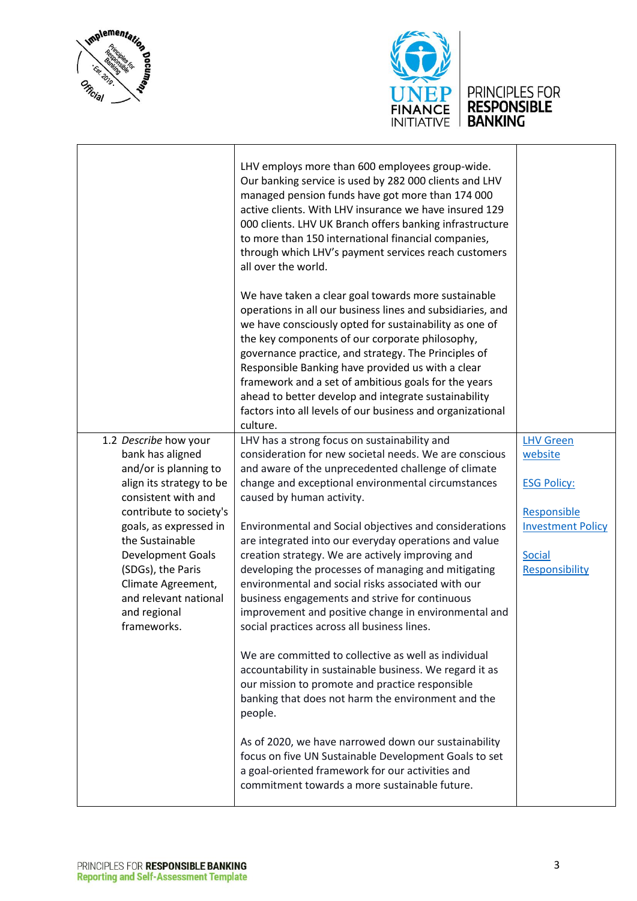



|                                                                                                                                                                                                                                                                                                                       | LHV employs more than 600 employees group-wide.<br>Our banking service is used by 282 000 clients and LHV<br>managed pension funds have got more than 174 000<br>active clients. With LHV insurance we have insured 129<br>000 clients. LHV UK Branch offers banking infrastructure<br>to more than 150 international financial companies,<br>through which LHV's payment services reach customers<br>all over the world.<br>We have taken a clear goal towards more sustainable                                                                                                                                                                                                                                                                                                                                                                                                                                                                                                                                                                                                                                                                           |                                                                                                                                 |
|-----------------------------------------------------------------------------------------------------------------------------------------------------------------------------------------------------------------------------------------------------------------------------------------------------------------------|------------------------------------------------------------------------------------------------------------------------------------------------------------------------------------------------------------------------------------------------------------------------------------------------------------------------------------------------------------------------------------------------------------------------------------------------------------------------------------------------------------------------------------------------------------------------------------------------------------------------------------------------------------------------------------------------------------------------------------------------------------------------------------------------------------------------------------------------------------------------------------------------------------------------------------------------------------------------------------------------------------------------------------------------------------------------------------------------------------------------------------------------------------|---------------------------------------------------------------------------------------------------------------------------------|
|                                                                                                                                                                                                                                                                                                                       | operations in all our business lines and subsidiaries, and<br>we have consciously opted for sustainability as one of<br>the key components of our corporate philosophy,<br>governance practice, and strategy. The Principles of<br>Responsible Banking have provided us with a clear<br>framework and a set of ambitious goals for the years<br>ahead to better develop and integrate sustainability<br>factors into all levels of our business and organizational<br>culture.                                                                                                                                                                                                                                                                                                                                                                                                                                                                                                                                                                                                                                                                             |                                                                                                                                 |
| 1.2 Describe how your<br>bank has aligned<br>and/or is planning to<br>align its strategy to be<br>consistent with and<br>contribute to society's<br>goals, as expressed in<br>the Sustainable<br>Development Goals<br>(SDGs), the Paris<br>Climate Agreement,<br>and relevant national<br>and regional<br>frameworks. | LHV has a strong focus on sustainability and<br>consideration for new societal needs. We are conscious<br>and aware of the unprecedented challenge of climate<br>change and exceptional environmental circumstances<br>caused by human activity.<br>Environmental and Social objectives and considerations<br>are integrated into our everyday operations and value<br>creation strategy. We are actively improving and<br>developing the processes of managing and mitigating<br>environmental and social risks associated with our<br>business engagements and strive for continuous<br>improvement and positive change in environmental and<br>social practices across all business lines.<br>We are committed to collective as well as individual<br>accountability in sustainable business. We regard it as<br>our mission to promote and practice responsible<br>banking that does not harm the environment and the<br>people.<br>As of 2020, we have narrowed down our sustainability<br>focus on five UN Sustainable Development Goals to set<br>a goal-oriented framework for our activities and<br>commitment towards a more sustainable future. | <b>LHV Green</b><br>website<br><b>ESG Policy:</b><br>Responsible<br><b>Investment Policy</b><br><b>Social</b><br>Responsibility |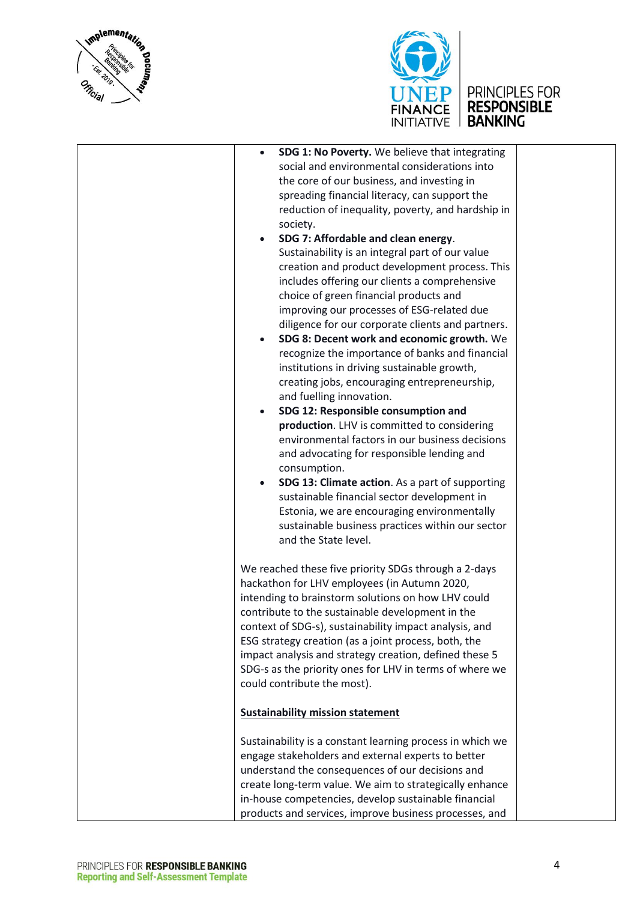



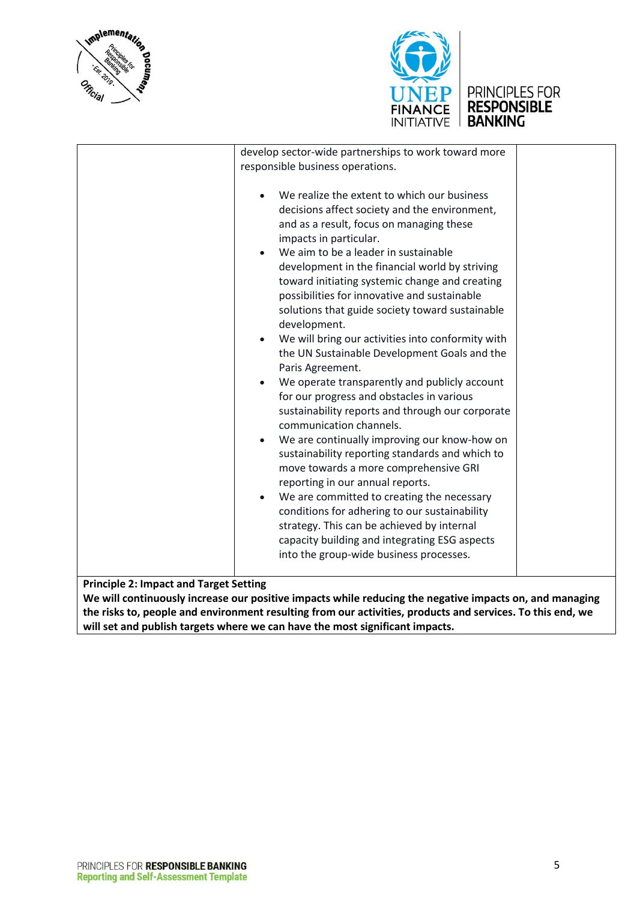





**We will continuously increase our positive impacts while reducing the negative impacts on, and managing the risks to, people and environment resulting from our activities, products and services. To this end, we will set and publish targets where we can have the most significant impacts.**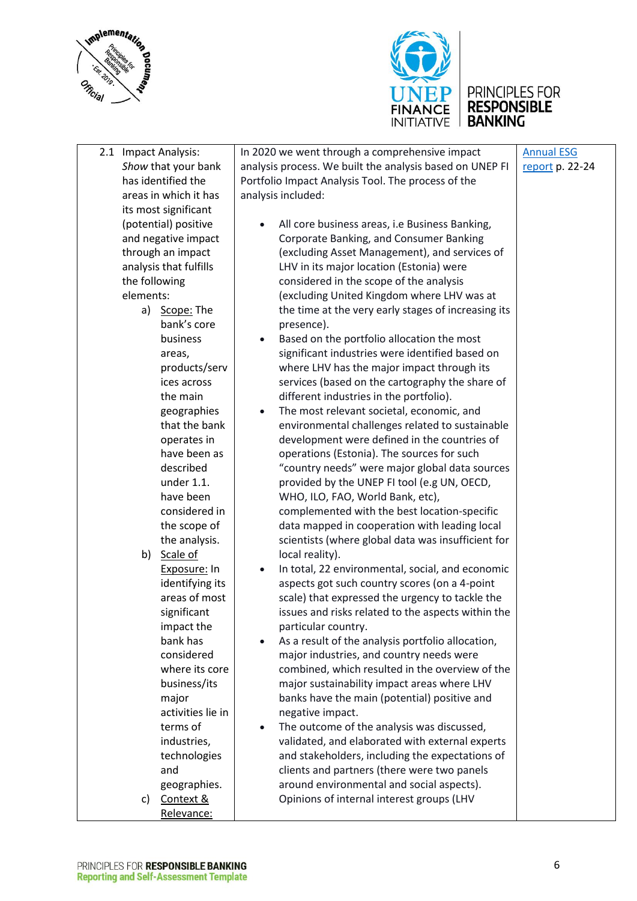



|               | 2.1 Impact Analysis:   | In 2020 we went through a comprehensive impact                | <b>Annual ESG</b> |
|---------------|------------------------|---------------------------------------------------------------|-------------------|
|               | Show that your bank    | analysis process. We built the analysis based on UNEP FI      | report p. 22-24   |
|               | has identified the     | Portfolio Impact Analysis Tool. The process of the            |                   |
|               | areas in which it has  | analysis included:                                            |                   |
|               | its most significant   |                                                               |                   |
|               | (potential) positive   | All core business areas, i.e Business Banking,                |                   |
|               | and negative impact    | Corporate Banking, and Consumer Banking                       |                   |
|               | through an impact      | (excluding Asset Management), and services of                 |                   |
|               | analysis that fulfills | LHV in its major location (Estonia) were                      |                   |
| the following |                        | considered in the scope of the analysis                       |                   |
| elements:     |                        | (excluding United Kingdom where LHV was at                    |                   |
|               | a) Scope: The          | the time at the very early stages of increasing its           |                   |
|               | bank's core            | presence).                                                    |                   |
|               | business               |                                                               |                   |
|               |                        | Based on the portfolio allocation the most<br>$\bullet$       |                   |
|               | areas,                 | significant industries were identified based on               |                   |
|               | products/serv          | where LHV has the major impact through its                    |                   |
|               | ices across            | services (based on the cartography the share of               |                   |
|               | the main               | different industries in the portfolio).                       |                   |
|               | geographies            | The most relevant societal, economic, and<br>$\bullet$        |                   |
|               | that the bank          | environmental challenges related to sustainable               |                   |
|               | operates in            | development were defined in the countries of                  |                   |
|               | have been as           | operations (Estonia). The sources for such                    |                   |
|               | described              | "country needs" were major global data sources                |                   |
|               | under 1.1.             | provided by the UNEP FI tool (e.g UN, OECD,                   |                   |
|               | have been              | WHO, ILO, FAO, World Bank, etc),                              |                   |
|               | considered in          | complemented with the best location-specific                  |                   |
|               | the scope of           | data mapped in cooperation with leading local                 |                   |
|               | the analysis.          | scientists (where global data was insufficient for            |                   |
|               | b) Scale of            | local reality).                                               |                   |
|               | Exposure: In           | In total, 22 environmental, social, and economic<br>$\bullet$ |                   |
|               | identifying its        | aspects got such country scores (on a 4-point                 |                   |
|               | areas of most          | scale) that expressed the urgency to tackle the               |                   |
|               | significant            | issues and risks related to the aspects within the            |                   |
|               | impact the             | particular country.                                           |                   |
|               | bank has               | As a result of the analysis portfolio allocation,             |                   |
|               | considered             | major industries, and country needs were                      |                   |
|               | where its core         | combined, which resulted in the overview of the               |                   |
|               | business/its           | major sustainability impact areas where LHV                   |                   |
|               | major                  | banks have the main (potential) positive and                  |                   |
|               | activities lie in      | negative impact.                                              |                   |
|               | terms of               | The outcome of the analysis was discussed,<br>$\bullet$       |                   |
|               | industries,            | validated, and elaborated with external experts               |                   |
|               | technologies           | and stakeholders, including the expectations of               |                   |
|               | and                    | clients and partners (there were two panels                   |                   |
|               | geographies.           | around environmental and social aspects).                     |                   |
| C)            | Context &              | Opinions of internal interest groups (LHV                     |                   |
|               | Relevance:             |                                                               |                   |
|               |                        |                                                               |                   |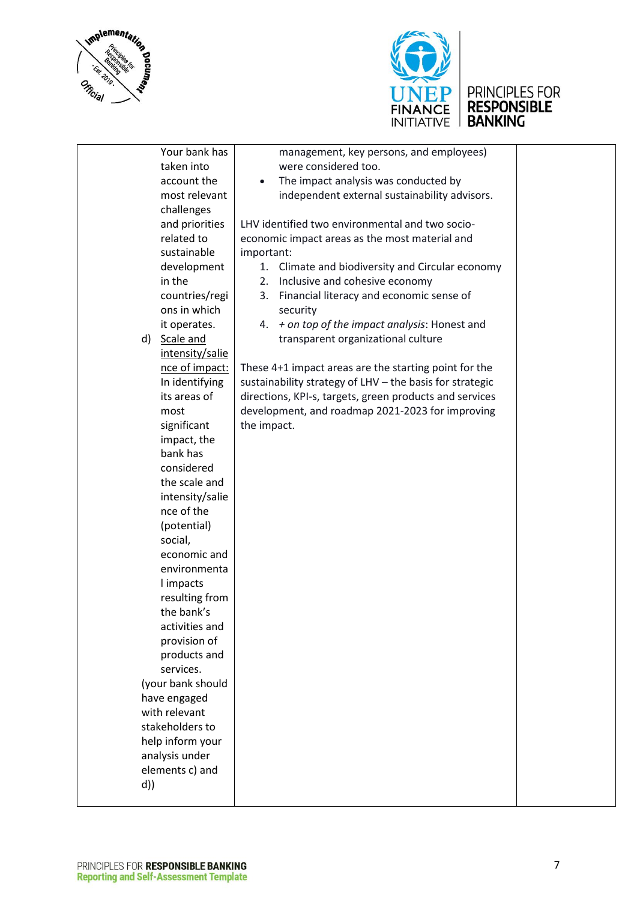



# UNEP PRINCIPLES FOR<br>FINANCE RESPONSIBLE<br>INITIATIVE BANKING

|    | Your bank has     | management, key persons, and employees)                  |  |
|----|-------------------|----------------------------------------------------------|--|
|    | taken into        | were considered too.                                     |  |
|    | account the       | The impact analysis was conducted by                     |  |
|    | most relevant     | independent external sustainability advisors.            |  |
|    | challenges        |                                                          |  |
|    | and priorities    | LHV identified two environmental and two socio-          |  |
|    | related to        | economic impact areas as the most material and           |  |
|    | sustainable       | important:                                               |  |
|    | development       | 1. Climate and biodiversity and Circular economy         |  |
|    | in the            | Inclusive and cohesive economy<br>2.                     |  |
|    | countries/regi    | Financial literacy and economic sense of<br>3.           |  |
|    | ons in which      | security                                                 |  |
|    | it operates.      | + on top of the impact analysis: Honest and<br>4.        |  |
|    | d) Scale and      | transparent organizational culture                       |  |
|    |                   |                                                          |  |
|    | intensity/salie   |                                                          |  |
|    | nce of impact:    | These 4+1 impact areas are the starting point for the    |  |
|    | In identifying    | sustainability strategy of LHV - the basis for strategic |  |
|    | its areas of      | directions, KPI-s, targets, green products and services  |  |
|    | most              | development, and roadmap 2021-2023 for improving         |  |
|    | significant       | the impact.                                              |  |
|    | impact, the       |                                                          |  |
|    | bank has          |                                                          |  |
|    | considered        |                                                          |  |
|    | the scale and     |                                                          |  |
|    | intensity/salie   |                                                          |  |
|    | nce of the        |                                                          |  |
|    | (potential)       |                                                          |  |
|    | social,           |                                                          |  |
|    | economic and      |                                                          |  |
|    | environmenta      |                                                          |  |
|    | I impacts         |                                                          |  |
|    | resulting from    |                                                          |  |
|    | the bank's        |                                                          |  |
|    | activities and    |                                                          |  |
|    | provision of      |                                                          |  |
|    | products and      |                                                          |  |
|    | services.         |                                                          |  |
|    | (your bank should |                                                          |  |
|    | have engaged      |                                                          |  |
|    | with relevant     |                                                          |  |
|    | stakeholders to   |                                                          |  |
|    | help inform your  |                                                          |  |
|    | analysis under    |                                                          |  |
|    | elements c) and   |                                                          |  |
| d) |                   |                                                          |  |
|    |                   |                                                          |  |
|    |                   |                                                          |  |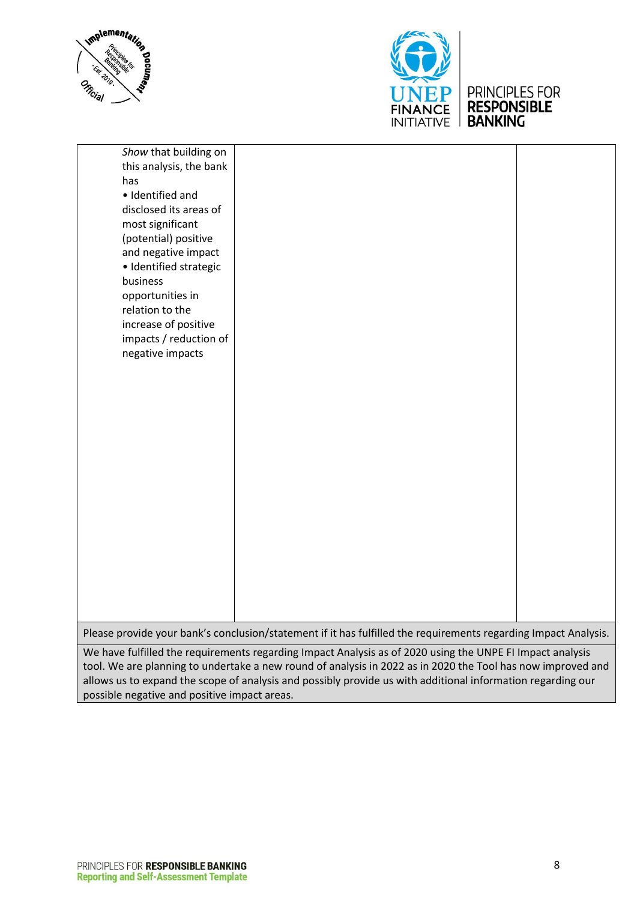



### PRINCIPLES FOR RESPONSIBLE

| Show that building on   |                                                                                                                 |  |
|-------------------------|-----------------------------------------------------------------------------------------------------------------|--|
| this analysis, the bank |                                                                                                                 |  |
| has                     |                                                                                                                 |  |
| · Identified and        |                                                                                                                 |  |
| disclosed its areas of  |                                                                                                                 |  |
| most significant        |                                                                                                                 |  |
| (potential) positive    |                                                                                                                 |  |
| and negative impact     |                                                                                                                 |  |
| · Identified strategic  |                                                                                                                 |  |
| business                |                                                                                                                 |  |
| opportunities in        |                                                                                                                 |  |
| relation to the         |                                                                                                                 |  |
| increase of positive    |                                                                                                                 |  |
| impacts / reduction of  |                                                                                                                 |  |
| negative impacts        |                                                                                                                 |  |
|                         |                                                                                                                 |  |
|                         |                                                                                                                 |  |
|                         |                                                                                                                 |  |
|                         |                                                                                                                 |  |
|                         |                                                                                                                 |  |
|                         |                                                                                                                 |  |
|                         |                                                                                                                 |  |
|                         |                                                                                                                 |  |
|                         |                                                                                                                 |  |
|                         |                                                                                                                 |  |
|                         |                                                                                                                 |  |
|                         |                                                                                                                 |  |
|                         |                                                                                                                 |  |
|                         |                                                                                                                 |  |
|                         |                                                                                                                 |  |
|                         |                                                                                                                 |  |
|                         |                                                                                                                 |  |
|                         | Please provide your bank's conclusion/statement if it has fulfilled the requirements regarding Impact Analysis. |  |
|                         |                                                                                                                 |  |

We have fulfilled the requirements regarding Impact Analysis as of 2020 using the UNPE FI Impact analysis tool. We are planning to undertake a new round of analysis in 2022 as in 2020 the Tool has now improved and allows us to expand the scope of analysis and possibly provide us with additional information regarding our possible negative and positive impact areas.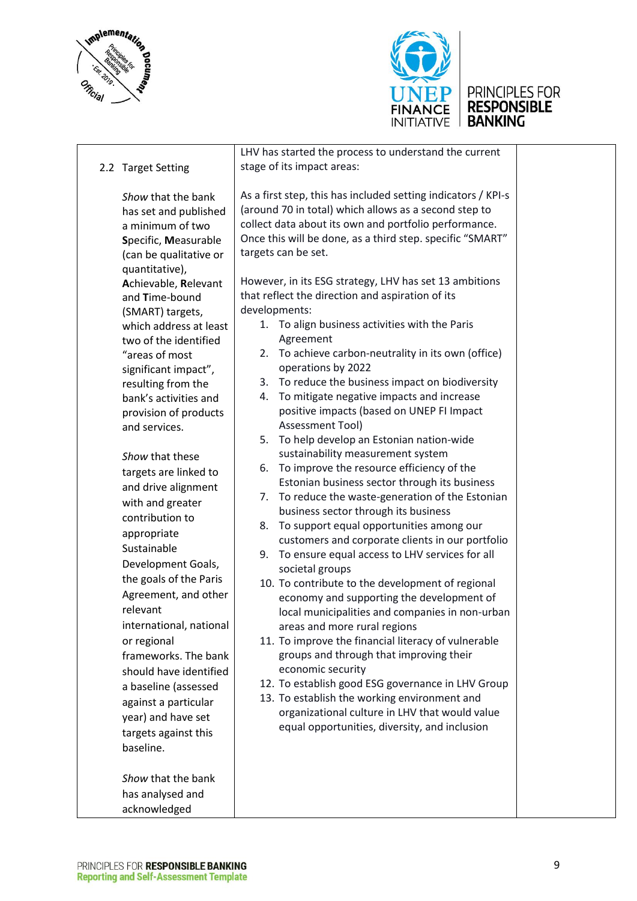



|  | 2.2 Target Setting                                                                                                                                                                                                                                                                                                                                                                                                              | LHV has started the process to understand the current<br>stage of its impact areas:                                                                                                                                                                                                                                                                                                                                                                                                                                                                                                                                                                                                                                                                                                                                                                                                                                                       |
|--|---------------------------------------------------------------------------------------------------------------------------------------------------------------------------------------------------------------------------------------------------------------------------------------------------------------------------------------------------------------------------------------------------------------------------------|-------------------------------------------------------------------------------------------------------------------------------------------------------------------------------------------------------------------------------------------------------------------------------------------------------------------------------------------------------------------------------------------------------------------------------------------------------------------------------------------------------------------------------------------------------------------------------------------------------------------------------------------------------------------------------------------------------------------------------------------------------------------------------------------------------------------------------------------------------------------------------------------------------------------------------------------|
|  | Show that the bank<br>has set and published<br>a minimum of two<br>Specific, Measurable<br>(can be qualitative or<br>quantitative),<br>Achievable, Relevant                                                                                                                                                                                                                                                                     | As a first step, this has included setting indicators / KPI-s<br>(around 70 in total) which allows as a second step to<br>collect data about its own and portfolio performance.<br>Once this will be done, as a third step. specific "SMART"<br>targets can be set.<br>However, in its ESG strategy, LHV has set 13 ambitions                                                                                                                                                                                                                                                                                                                                                                                                                                                                                                                                                                                                             |
|  | and Time-bound<br>(SMART) targets,                                                                                                                                                                                                                                                                                                                                                                                              | that reflect the direction and aspiration of its<br>developments:<br>1. To align business activities with the Paris                                                                                                                                                                                                                                                                                                                                                                                                                                                                                                                                                                                                                                                                                                                                                                                                                       |
|  | which address at least<br>two of the identified<br>"areas of most<br>significant impact",<br>resulting from the                                                                                                                                                                                                                                                                                                                 | Agreement<br>2. To achieve carbon-neutrality in its own (office)<br>operations by 2022<br>To reduce the business impact on biodiversity<br>3.                                                                                                                                                                                                                                                                                                                                                                                                                                                                                                                                                                                                                                                                                                                                                                                             |
|  | bank's activities and<br>provision of products<br>and services.                                                                                                                                                                                                                                                                                                                                                                 | To mitigate negative impacts and increase<br>4.<br>positive impacts (based on UNEP FI Impact<br>Assessment Tool)<br>To help develop an Estonian nation-wide<br>5.                                                                                                                                                                                                                                                                                                                                                                                                                                                                                                                                                                                                                                                                                                                                                                         |
|  | Show that these<br>targets are linked to<br>and drive alignment<br>with and greater<br>contribution to<br>appropriate<br>Sustainable<br>Development Goals,<br>the goals of the Paris<br>Agreement, and other<br>relevant<br>international, national<br>or regional<br>frameworks. The bank<br>should have identified<br>a baseline (assessed<br>against a particular<br>year) and have set<br>targets against this<br>baseline. | sustainability measurement system<br>To improve the resource efficiency of the<br>6.<br>Estonian business sector through its business<br>To reduce the waste-generation of the Estonian<br>7.<br>business sector through its business<br>To support equal opportunities among our<br>8.<br>customers and corporate clients in our portfolio<br>To ensure equal access to LHV services for all<br>9.<br>societal groups<br>10. To contribute to the development of regional<br>economy and supporting the development of<br>local municipalities and companies in non-urban<br>areas and more rural regions<br>11. To improve the financial literacy of vulnerable<br>groups and through that improving their<br>economic security<br>12. To establish good ESG governance in LHV Group<br>13. To establish the working environment and<br>organizational culture in LHV that would value<br>equal opportunities, diversity, and inclusion |
|  | Show that the bank<br>has analysed and<br>acknowledged                                                                                                                                                                                                                                                                                                                                                                          |                                                                                                                                                                                                                                                                                                                                                                                                                                                                                                                                                                                                                                                                                                                                                                                                                                                                                                                                           |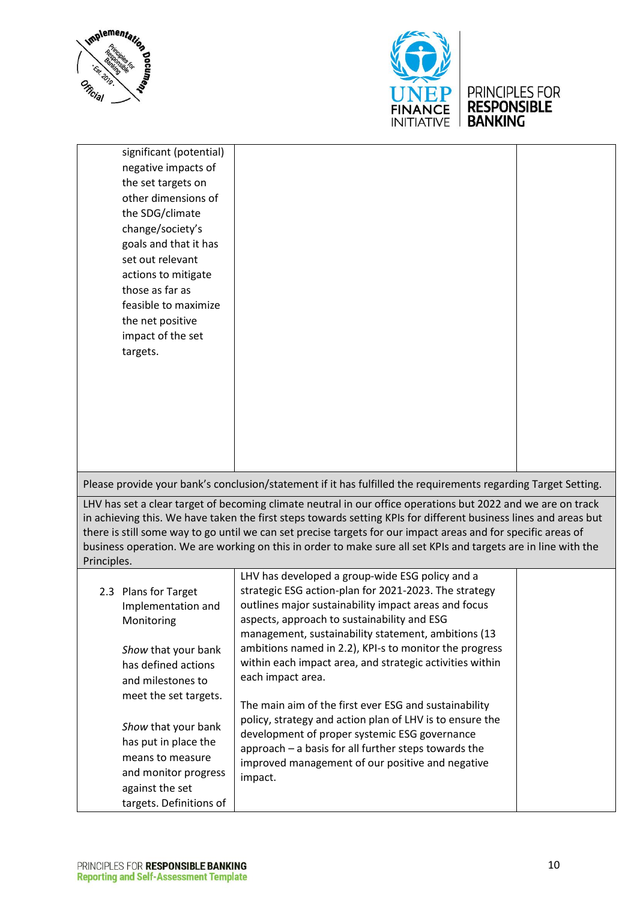



| significant (potential)<br>negative impacts of<br>the set targets on<br>other dimensions of<br>the SDG/climate<br>change/society's<br>goals and that it has<br>set out relevant<br>actions to mitigate<br>those as far as<br>feasible to maximize<br>the net positive<br>impact of the set<br>targets. |                                                                                                                                                                                                                                                                                                                                                                                                                                                                                                                                                                                                                                                                                                                |  |
|--------------------------------------------------------------------------------------------------------------------------------------------------------------------------------------------------------------------------------------------------------------------------------------------------------|----------------------------------------------------------------------------------------------------------------------------------------------------------------------------------------------------------------------------------------------------------------------------------------------------------------------------------------------------------------------------------------------------------------------------------------------------------------------------------------------------------------------------------------------------------------------------------------------------------------------------------------------------------------------------------------------------------------|--|
|                                                                                                                                                                                                                                                                                                        | Please provide your bank's conclusion/statement if it has fulfilled the requirements regarding Target Setting.                                                                                                                                                                                                                                                                                                                                                                                                                                                                                                                                                                                                 |  |
| Principles.                                                                                                                                                                                                                                                                                            | LHV has set a clear target of becoming climate neutral in our office operations but 2022 and we are on track<br>in achieving this. We have taken the first steps towards setting KPIs for different business lines and areas but<br>there is still some way to go until we can set precise targets for our impact areas and for specific areas of<br>business operation. We are working on this in order to make sure all set KPIs and targets are in line with the                                                                                                                                                                                                                                            |  |
| 2.3 Plans for Target<br>Implementation and<br>Monitoring<br>Show that your bank<br>has defined actions<br>and milestones to<br>meet the set targets.<br>Show that your bank<br>has put in place the<br>means to measure<br>and monitor progress<br>against the set<br>targets. Definitions of          | LHV has developed a group-wide ESG policy and a<br>strategic ESG action-plan for 2021-2023. The strategy<br>outlines major sustainability impact areas and focus<br>aspects, approach to sustainability and ESG<br>management, sustainability statement, ambitions (13<br>ambitions named in 2.2), KPI-s to monitor the progress<br>within each impact area, and strategic activities within<br>each impact area.<br>The main aim of the first ever ESG and sustainability<br>policy, strategy and action plan of LHV is to ensure the<br>development of proper systemic ESG governance<br>approach - a basis for all further steps towards the<br>improved management of our positive and negative<br>impact. |  |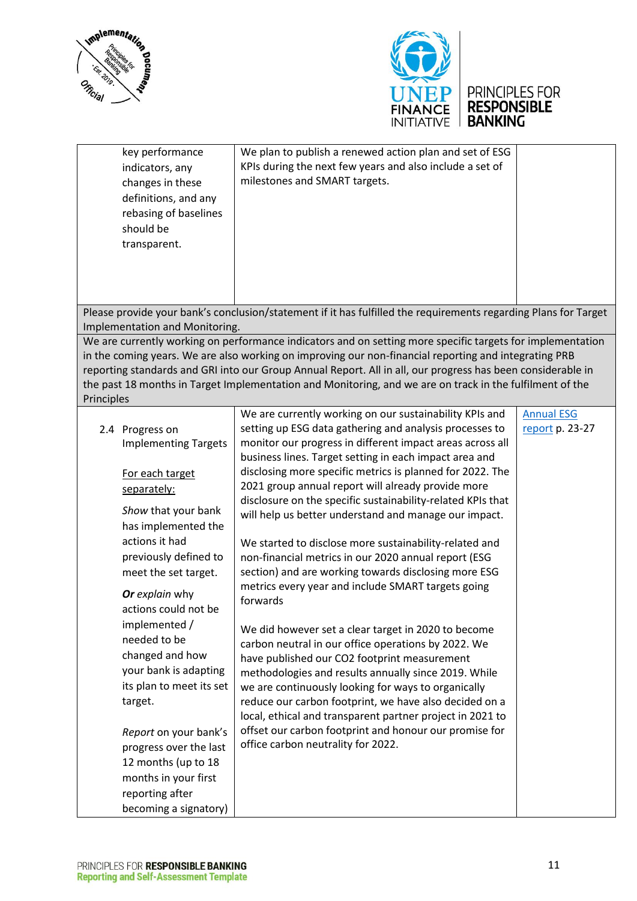



# UNEP PRINCIPLES FOR<br>FINANCE RESPONSIBLE<br>INITIATIVE BANKING

| key performance<br>indicators, any<br>changes in these<br>definitions, and any<br>rebasing of baselines<br>should be<br>transparent.       | We plan to publish a renewed action plan and set of ESG<br>KPIs during the next few years and also include a set of<br>milestones and SMART targets.                                                                                                                                                                                                                                                                                           |                   |
|--------------------------------------------------------------------------------------------------------------------------------------------|------------------------------------------------------------------------------------------------------------------------------------------------------------------------------------------------------------------------------------------------------------------------------------------------------------------------------------------------------------------------------------------------------------------------------------------------|-------------------|
|                                                                                                                                            |                                                                                                                                                                                                                                                                                                                                                                                                                                                |                   |
| Implementation and Monitoring.                                                                                                             | Please provide your bank's conclusion/statement if it has fulfilled the requirements regarding Plans for Target                                                                                                                                                                                                                                                                                                                                |                   |
| Principles                                                                                                                                 | We are currently working on performance indicators and on setting more specific targets for implementation<br>in the coming years. We are also working on improving our non-financial reporting and integrating PRB<br>reporting standards and GRI into our Group Annual Report. All in all, our progress has been considerable in<br>the past 18 months in Target Implementation and Monitoring, and we are on track in the fulfilment of the |                   |
|                                                                                                                                            | We are currently working on our sustainability KPIs and                                                                                                                                                                                                                                                                                                                                                                                        | <b>Annual ESG</b> |
| 2.4 Progress on<br><b>Implementing Targets</b>                                                                                             | setting up ESG data gathering and analysis processes to<br>monitor our progress in different impact areas across all<br>business lines. Target setting in each impact area and                                                                                                                                                                                                                                                                 | report p. 23-27   |
| For each target<br>separately:<br>Show that your bank                                                                                      | disclosing more specific metrics is planned for 2022. The<br>2021 group annual report will already provide more<br>disclosure on the specific sustainability-related KPIs that<br>will help us better understand and manage our impact.                                                                                                                                                                                                        |                   |
| has implemented the<br>actions it had<br>previously defined to<br>meet the set target.<br>Or explain why<br>actions could not be           | We started to disclose more sustainability-related and<br>non-financial metrics in our 2020 annual report (ESG<br>section) and are working towards disclosing more ESG<br>metrics every year and include SMART targets going<br>forwards                                                                                                                                                                                                       |                   |
| implemented /<br>needed to be<br>changed and how<br>your bank is adapting<br>its plan to meet its set<br>target.                           | We did however set a clear target in 2020 to become<br>carbon neutral in our office operations by 2022. We<br>have published our CO2 footprint measurement<br>methodologies and results annually since 2019. While<br>we are continuously looking for ways to organically<br>reduce our carbon footprint, we have also decided on a                                                                                                            |                   |
| Report on your bank's<br>progress over the last<br>12 months (up to 18<br>months in your first<br>reporting after<br>becoming a signatory) | local, ethical and transparent partner project in 2021 to<br>offset our carbon footprint and honour our promise for<br>office carbon neutrality for 2022.                                                                                                                                                                                                                                                                                      |                   |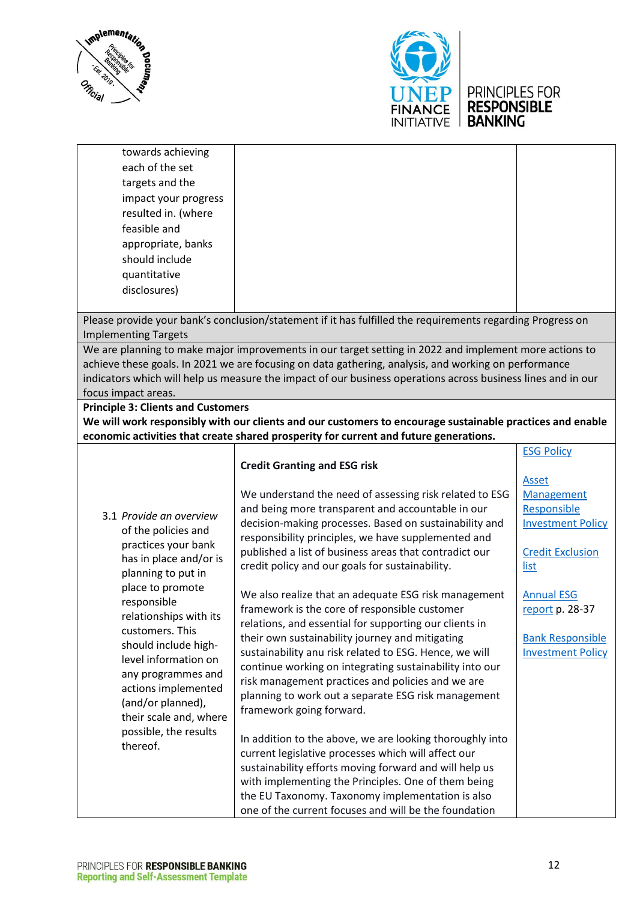



towards achieving each of the set targets and the impact your progress resulted in. (where feasible and appropriate, banks should include quantitative disclosures)

Please provide your bank's conclusion/statement if it has fulfilled the requirements regarding Progress on Implementing Targets

We are planning to make major improvements in our target setting in 2022 and implement more actions to achieve these goals. In 2021 we are focusing on data gathering, analysis, and working on performance indicators which will help us measure the impact of our business operations across business lines and in our focus impact areas.

#### **Principle 3: Clients and Customers**

**We will work responsibly with our clients and our customers to encourage sustainable practices and enable economic activities that create shared prosperity for current and future generations.**

| conomic activities that create shared prosperity for current and future generations. |                                                                                                                   |                          |  |
|--------------------------------------------------------------------------------------|-------------------------------------------------------------------------------------------------------------------|--------------------------|--|
|                                                                                      | <b>Credit Granting and ESG risk</b>                                                                               | <b>ESG Policy</b>        |  |
|                                                                                      |                                                                                                                   | <b>Asset</b>             |  |
|                                                                                      | We understand the need of assessing risk related to ESG                                                           | Management               |  |
| 3.1 Provide an overview                                                              | and being more transparent and accountable in our                                                                 | Responsible              |  |
| of the policies and<br>practices your bank                                           | decision-making processes. Based on sustainability and<br>responsibility principles, we have supplemented and     | <b>Investment Policy</b> |  |
| has in place and/or is                                                               | published a list of business areas that contradict our                                                            | <b>Credit Exclusion</b>  |  |
| planning to put in                                                                   | credit policy and our goals for sustainability.                                                                   | list                     |  |
| place to promote<br>responsible                                                      | We also realize that an adequate ESG risk management                                                              | <b>Annual ESG</b>        |  |
| relationships with its                                                               | framework is the core of responsible customer                                                                     | report p. 28-37          |  |
| customers. This                                                                      | relations, and essential for supporting our clients in                                                            |                          |  |
| should include high-                                                                 | their own sustainability journey and mitigating                                                                   | <b>Bank Responsible</b>  |  |
| level information on                                                                 | sustainability anu risk related to ESG. Hence, we will<br>continue working on integrating sustainability into our | <b>Investment Policy</b> |  |
| any programmes and                                                                   | risk management practices and policies and we are                                                                 |                          |  |
| actions implemented                                                                  | planning to work out a separate ESG risk management                                                               |                          |  |
| (and/or planned),                                                                    | framework going forward.                                                                                          |                          |  |
| their scale and, where<br>possible, the results                                      |                                                                                                                   |                          |  |
| thereof.                                                                             | In addition to the above, we are looking thoroughly into                                                          |                          |  |
|                                                                                      | current legislative processes which will affect our                                                               |                          |  |
|                                                                                      | sustainability efforts moving forward and will help us                                                            |                          |  |
|                                                                                      | with implementing the Principles. One of them being                                                               |                          |  |
|                                                                                      | the EU Taxonomy. Taxonomy implementation is also                                                                  |                          |  |
|                                                                                      | one of the current focuses and will be the foundation                                                             |                          |  |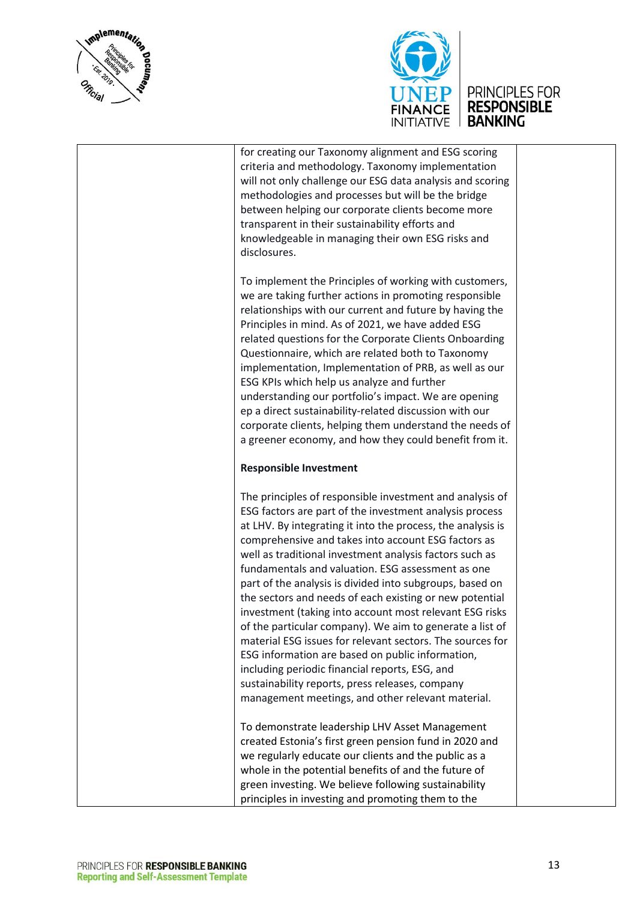



for creating our Taxonomy alignment and ESG scoring criteria and methodology. Taxonomy implementation will not only challenge our ESG data analysis and scoring methodologies and processes but will be the bridge between helping our corporate clients become more transparent in their sustainability efforts and knowledgeable in managing their own ESG risks and disclosures.

To implement the Principles of working with customers, we are taking further actions in promoting responsible relationships with our current and future by having the Principles in mind. As of 2021, we have added ESG related questions for the Corporate Clients Onboarding Questionnaire, which are related both to Taxonomy implementation, Implementation of PRB, as well as our ESG KPIs which help us analyze and further understanding our portfolio's impact. We are opening ep a direct sustainability-related discussion with our corporate clients, helping them understand the needs of a greener economy, and how they could benefit from it.

#### **Responsible Investment**

The principles of responsible investment and analysis of ESG factors are part of the investment analysis process at LHV. By integrating it into the process, the analysis is comprehensive and takes into account ESG factors as well as traditional investment analysis factors such as fundamentals and valuation. ESG assessment as one part of the analysis is divided into subgroups, based on the sectors and needs of each existing or new potential investment (taking into account most relevant ESG risks of the particular company). We aim to generate a list of material ESG issues for relevant sectors. The sources for ESG information are based on public information, including periodic financial reports, ESG, and sustainability reports, press releases, company management meetings, and other relevant material.

To demonstrate leadership LHV Asset Management created Estonia's first green pension fund in 2020 and we regularly educate our clients and the public as a whole in the potential benefits of and the future of green investing. We believe following sustainability principles in investing and promoting them to the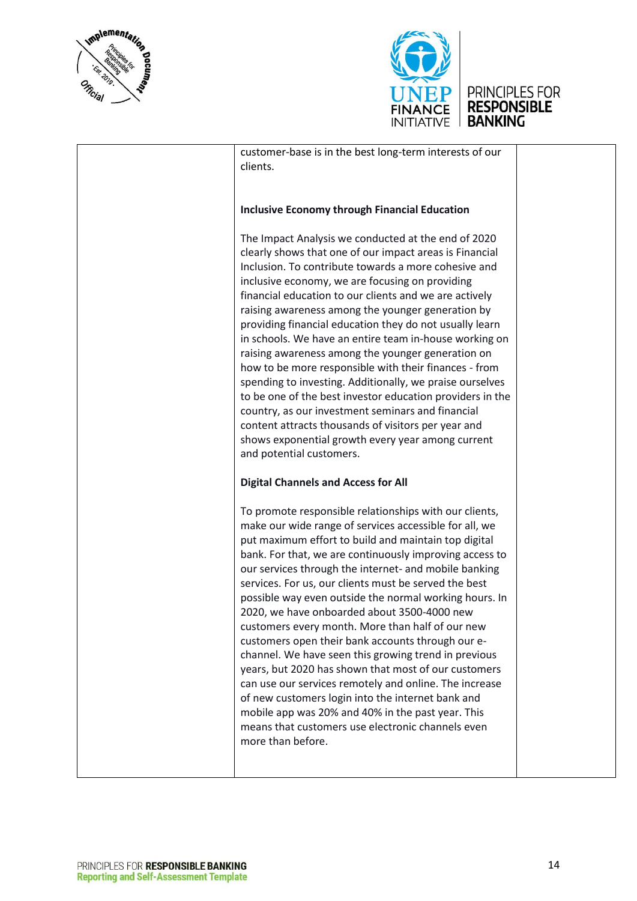



customer-base is in the best long-term interests of our clients.

#### **Inclusive Economy through Financial Education**

The Impact Analysis we conducted at the end of 2020 clearly shows that one of our impact areas is Financial Inclusion. To contribute towards a more cohesive and inclusive economy, we are focusing on providing financial education to our clients and we are actively raising awareness among the younger generation by providing financial education they do not usually learn in schools. We have an entire team in-house working on raising awareness among the younger generation on how to be more responsible with their finances - from spending to investing. Additionally, we praise ourselves to be one of the best investor education providers in the country, as our investment seminars and financial content attracts thousands of visitors per year and shows exponential growth every year among current and potential customers.

#### **Digital Channels and Access for All**

To promote responsible relationships with our clients, make our wide range of services accessible for all, we put maximum effort to build and maintain top digital bank. For that, we are continuously improving access to our services through the internet- and mobile banking services. For us, our clients must be served the best possible way even outside the normal working hours. In 2020, we have onboarded about 3500-4000 new customers every month. More than half of our new customers open their bank accounts through our echannel. We have seen this growing trend in previous years, but 2020 has shown that most of our customers can use our services remotely and online. The increase of new customers login into the internet bank and mobile app was 20% and 40% in the past year. This means that customers use electronic channels even more than before.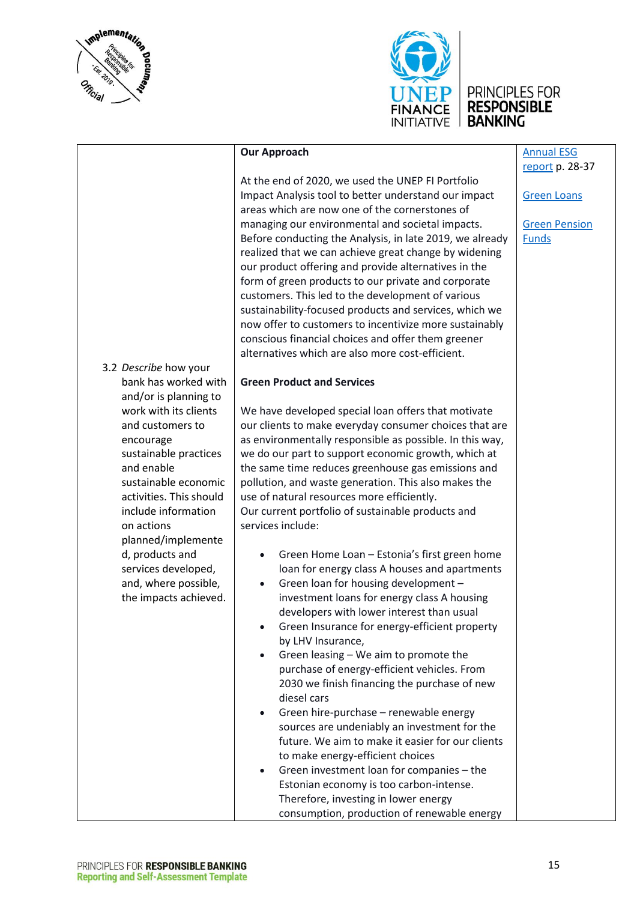



[Annual ESG](https://investor.lhv.ee/assets/files/LHV_Group_Annual_Report_2020-EN.pdf)  [report](https://investor.lhv.ee/assets/files/LHV_Group_Annual_Report_2020-EN.pdf) p. 28-37

[Green Loans](https://www.lhv.ee/en/green/loans)

[Green Pension](https://www.lhv.ee/en/green/pension) 

[Funds](https://www.lhv.ee/en/green/pension)

|  | <b>Our Approach</b> |
|--|---------------------|
|--|---------------------|

At the end of 2020, we used the UNEP FI Portfolio Impact Analysis tool to better understand our impact areas which are now one of the cornerstones of managing our environmental and societal impacts. Before conducting the Analysis, in late 2019, we already realized that we can achieve great change by widening our product offering and provide alternatives in the form of green products to our private and corporate customers. This led to the development of various sustainability-focused products and services, which we now offer to customers to incentivize more sustainably conscious financial choices and offer them greener alternatives which are also more cost-efficient.

#### **Green Product and Services**

We have developed special loan offers that motivate our clients to make everyday consumer choices that are as environmentally responsible as possible. In this way, we do our part to support economic growth, which at the same time reduces greenhouse gas emissions and pollution, and waste generation. This also makes the use of natural resources more efficiently. Our current portfolio of sustainable products and services include:

- Green Home Loan Estonia's first green home loan for energy class A houses and apartments
- Green loan for housing development investment loans for energy class A housing developers with lower interest than usual
- Green Insurance for energy-efficient property by LHV Insurance,
- Green leasing We aim to promote the purchase of energy-efficient vehicles. From 2030 we finish financing the purchase of new diesel cars
- Green hire-purchase renewable energy sources are undeniably an investment for the future. We aim to make it easier for our clients to make energy-efficient choices
- Green investment loan for companies the Estonian economy is too carbon-intense. Therefore, investing in lower energy consumption, production of renewable energy

### 3.2 *Describe* how your

bank has worked with and/or is planning to work with its clients and customers to encourage sustainable practices and enable sustainable economic activities. This should include information on actions planned/implemente d, products and services developed, and, where possible, the impacts achieved.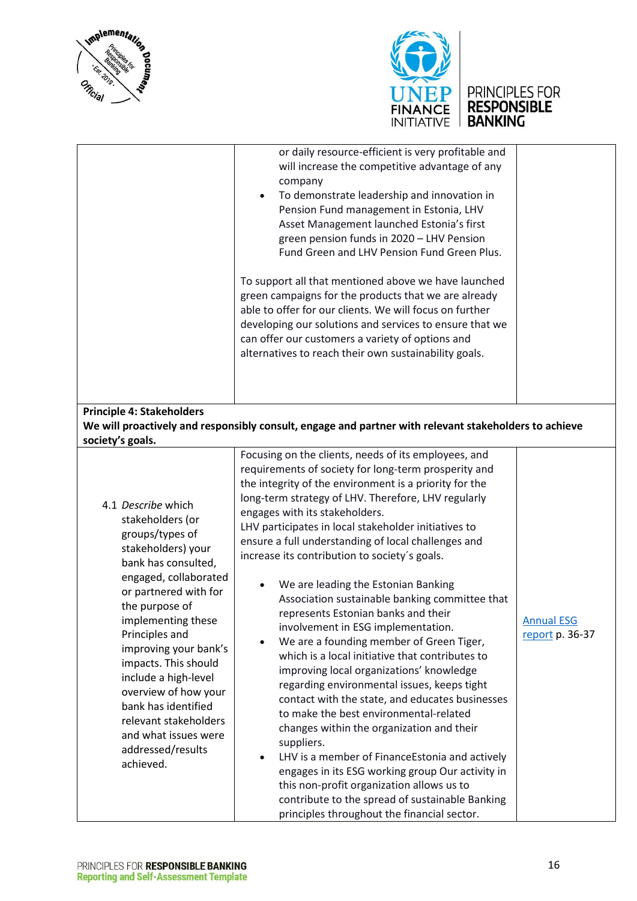





- improving your bank's impacts. This should include a high-level overview of how your bank has identified relevant stakeholders and what issues were We are a founding member of Green Tiger, which is a local initiative that contributes to improving local organizations' knowledge regarding environmental issues, keeps tight contact with the state, and educates businesses to make the best environmental-related changes within the organization and their suppliers. • LHV is a member of FinanceEstonia and actively engages in its ESG working group Our activity in
	- this non-profit organization allows us to contribute to the spread of sustainable Banking principles throughout the financial sector.

addressed/results

achieved.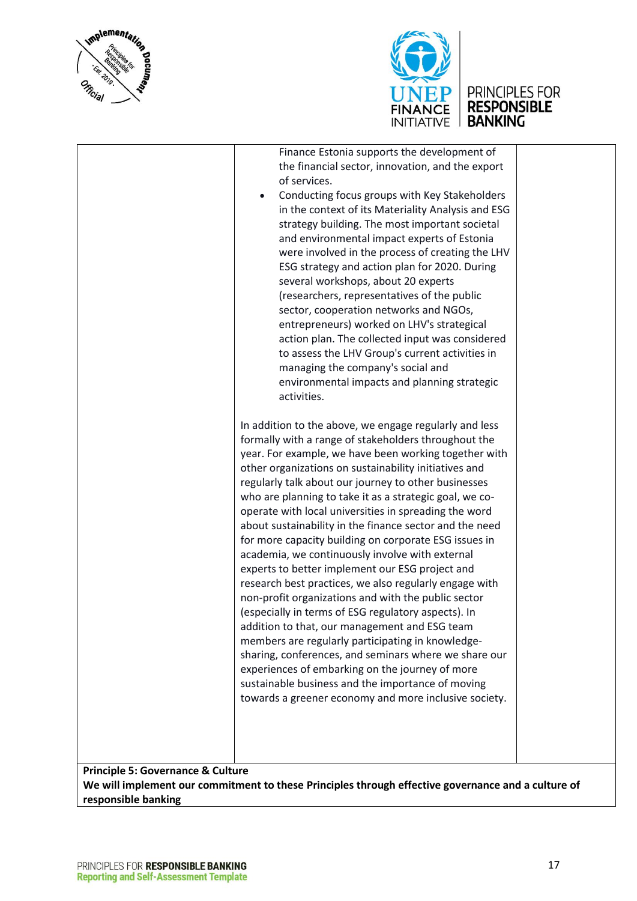



|                                              | Finance Estonia supports the development of<br>the financial sector, innovation, and the export<br>of services.<br>Conducting focus groups with Key Stakeholders<br>in the context of its Materiality Analysis and ESG<br>strategy building. The most important societal<br>and environmental impact experts of Estonia<br>were involved in the process of creating the LHV<br>ESG strategy and action plan for 2020. During<br>several workshops, about 20 experts<br>(researchers, representatives of the public<br>sector, cooperation networks and NGOs,<br>entrepreneurs) worked on LHV's strategical<br>action plan. The collected input was considered<br>to assess the LHV Group's current activities in<br>managing the company's social and<br>environmental impacts and planning strategic<br>activities.<br>In addition to the above, we engage regularly and less<br>formally with a range of stakeholders throughout the<br>year. For example, we have been working together with<br>other organizations on sustainability initiatives and<br>regularly talk about our journey to other businesses<br>who are planning to take it as a strategic goal, we co-<br>operate with local universities in spreading the word<br>about sustainability in the finance sector and the need<br>for more capacity building on corporate ESG issues in<br>academia, we continuously involve with external<br>experts to better implement our ESG project and<br>research best practices, we also regularly engage with<br>non-profit organizations and with the public sector<br>(especially in terms of ESG regulatory aspects). In<br>addition to that, our management and ESG team<br>members are regularly participating in knowledge-<br>sharing, conferences, and seminars where we share our<br>experiences of embarking on the journey of more<br>sustainable business and the importance of moving<br>towards a greener economy and more inclusive society. |  |
|----------------------------------------------|------------------------------------------------------------------------------------------------------------------------------------------------------------------------------------------------------------------------------------------------------------------------------------------------------------------------------------------------------------------------------------------------------------------------------------------------------------------------------------------------------------------------------------------------------------------------------------------------------------------------------------------------------------------------------------------------------------------------------------------------------------------------------------------------------------------------------------------------------------------------------------------------------------------------------------------------------------------------------------------------------------------------------------------------------------------------------------------------------------------------------------------------------------------------------------------------------------------------------------------------------------------------------------------------------------------------------------------------------------------------------------------------------------------------------------------------------------------------------------------------------------------------------------------------------------------------------------------------------------------------------------------------------------------------------------------------------------------------------------------------------------------------------------------------------------------------------------------------------------------------------------------------------------------------------------------------------------------------|--|
| <b>Drincinlo 5: Governance &amp; Culture</b> |                                                                                                                                                                                                                                                                                                                                                                                                                                                                                                                                                                                                                                                                                                                                                                                                                                                                                                                                                                                                                                                                                                                                                                                                                                                                                                                                                                                                                                                                                                                                                                                                                                                                                                                                                                                                                                                                                                                                                                        |  |

**Principle 5: Governance & Culture**

**We will implement our commitment to these Principles through effective governance and a culture of responsible banking**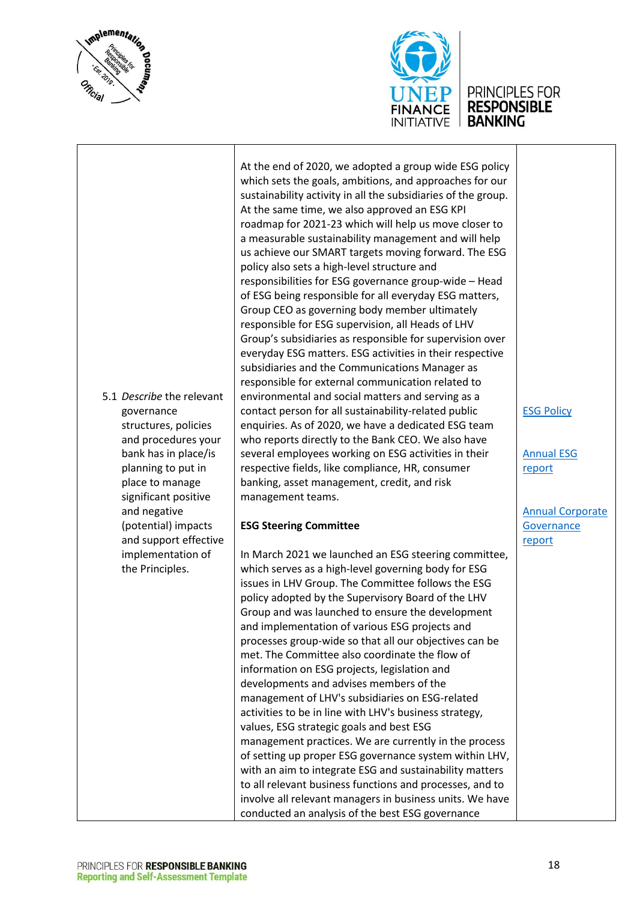



5.1 *Describe* the relevant governance structures, policies and procedures your bank has in place/is planning to put in place to manage significant positive and negative (potential) impacts and support effective implementation of the Principles. At the end of 2020, we adopted a group wide ESG policy which sets the goals, ambitions, and approaches for our sustainability activity in all the subsidiaries of the group. At the same time, we also approved an ESG KPI roadmap for 2021-23 which will help us move closer to a measurable sustainability management and will help us achieve our SMART targets moving forward. The ESG policy also sets a high-level structure and responsibilities for ESG governance group-wide – Head of ESG being responsible for all everyday ESG matters, Group CEO as governing body member ultimately responsible for ESG supervision, all Heads of LHV Group's subsidiaries as responsible for supervision over everyday ESG matters. ESG activities in their respective subsidiaries and the Communications Manager as responsible for external communication related to environmental and social matters and serving as a contact person for all sustainability-related public enquiries. As of 2020, we have a dedicated ESG team who reports directly to the Bank CEO. We also have several employees working on ESG activities in their respective fields, like compliance, HR, consumer banking, asset management, credit, and risk management teams. **ESG Steering Committee** In March 2021 we launched an ESG steering committee, which serves as a high-level governing body for ESG issues in LHV Group. The Committee follows the ESG policy adopted by the Supervisory Board of the LHV Group and was launched to ensure the development and implementation of various ESG projects and processes group-wide so that all our objectives can be met. The Committee also coordinate the flow of information on ESG projects, legislation and developments and advises members of the management of LHV's subsidiaries on ESG-related activities to be in line with LHV's business strategy, values, ESG strategic goals and best ESG management practices. We are currently in the process of setting up proper ESG governance system within LHV, with an aim to integrate ESG and sustainability matters to all relevant business functions and processes, and to involve all relevant managers in business units. We have [ESG Policy](https://www.lhv.ee/assets/files/esg_poliitika_lhv_group_12_11_2020-en.pdf)

conducted an analysis of the best ESG governance

[Annual ESG](https://investor.lhv.ee/assets/files/ESG_Report_2020-EN.pdf)  [report](https://investor.lhv.ee/assets/files/ESG_Report_2020-EN.pdf)

[Annual Corporate](https://investor.lhv.ee/assets/files/Corporate_Governance_Report_2020-ET.pdf)  **Governance** [report](https://investor.lhv.ee/assets/files/Corporate_Governance_Report_2020-ET.pdf)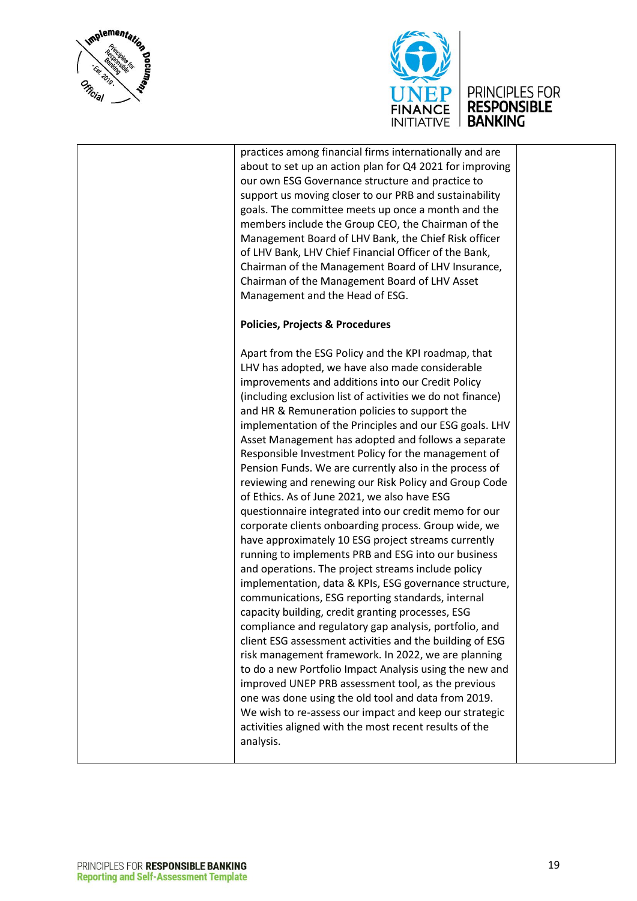



practices among financial firms internationally and are about to set up an action plan for Q4 2021 for improving our own ESG Governance structure and practice to support us moving closer to our PRB and sustainability goals. The committee meets up once a month and the members include the Group CEO, the Chairman of the Management Board of LHV Bank, the Chief Risk officer of LHV Bank, LHV Chief Financial Officer of the Bank, Chairman of the Management Board of LHV Insurance, Chairman of the Management Board of LHV Asset Management and the Head of ESG.

#### **Policies, Projects & Procedures**

Apart from the ESG Policy and the KPI roadmap, that LHV has adopted, we have also made considerable improvements and additions into our Credit Policy (including exclusion list of activities we do not finance) and HR & Remuneration policies to support the implementation of the Principles and our ESG goals. LHV Asset Management has adopted and follows a separate Responsible Investment Policy for the management of Pension Funds. We are currently also in the process of reviewing and renewing our Risk Policy and Group Code of Ethics. As of June 2021, we also have ESG questionnaire integrated into our credit memo for our corporate clients onboarding process. Group wide, we have approximately 10 ESG project streams currently running to implements PRB and ESG into our business and operations. The project streams include policy implementation, data & KPIs, ESG governance structure, communications, ESG reporting standards, internal capacity building, credit granting processes, ESG compliance and regulatory gap analysis, portfolio, and client ESG assessment activities and the building of ESG risk management framework. In 2022, we are planning to do a new Portfolio Impact Analysis using the new and improved UNEP PRB assessment tool, as the previous one was done using the old tool and data from 2019. We wish to re-assess our impact and keep our strategic activities aligned with the most recent results of the analysis.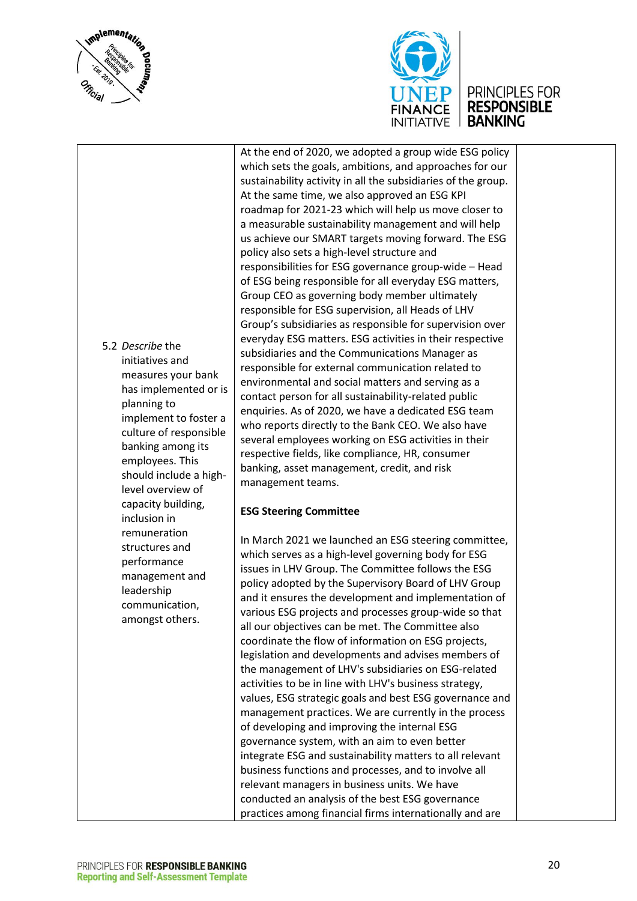





At the end of 2020, we adopted a group wide ESG policy which sets the goals, ambitions, and approaches for our sustainability activity in all the subsidiaries of the group. At the same time, we also approved an ESG KPI roadmap for 2021-23 which will help us move closer to a measurable sustainability management and will help us achieve our SMART targets moving forward. The ESG policy also sets a high-level structure and responsibilities for ESG governance group-wide – Head of ESG being responsible for all everyday ESG matters, Group CEO as governing body member ultimately responsible for ESG supervision, all Heads of LHV Group's subsidiaries as responsible for supervision over everyday ESG matters. ESG activities in their respective subsidiaries and the Communications Manager as responsible for external communication related to environmental and social matters and serving as a contact person for all sustainability-related public enquiries. As of 2020, we have a dedicated ESG team who reports directly to the Bank CEO. We also have several employees working on ESG activities in their respective fields, like compliance, HR, consumer banking, asset management, credit, and risk management teams.

#### **ESG Steering Committee**

In March 2021 we launched an ESG steering committee, which serves as a high-level governing body for ESG issues in LHV Group. The Committee follows the ESG policy adopted by the Supervisory Board of LHV Group and it ensures the development and implementation of various ESG projects and processes group-wide so that all our objectives can be met. The Committee also coordinate the flow of information on ESG projects, legislation and developments and advises members of the management of LHV's subsidiaries on ESG-related activities to be in line with LHV's business strategy, values, ESG strategic goals and best ESG governance and management practices. We are currently in the process of developing and improving the internal ESG governance system, with an aim to even better integrate ESG and sustainability matters to all relevant business functions and processes, and to involve all relevant managers in business units. We have conducted an analysis of the best ESG governance practices among financial firms internationally and are

5.2 *Describe* the initiatives and measures your bank has implemented or is planning to implement to foster a culture of responsible banking among its employees. This should include a highlevel overview of capacity building, inclusion in remuneration structures and performance management and leadership communication, amongst others.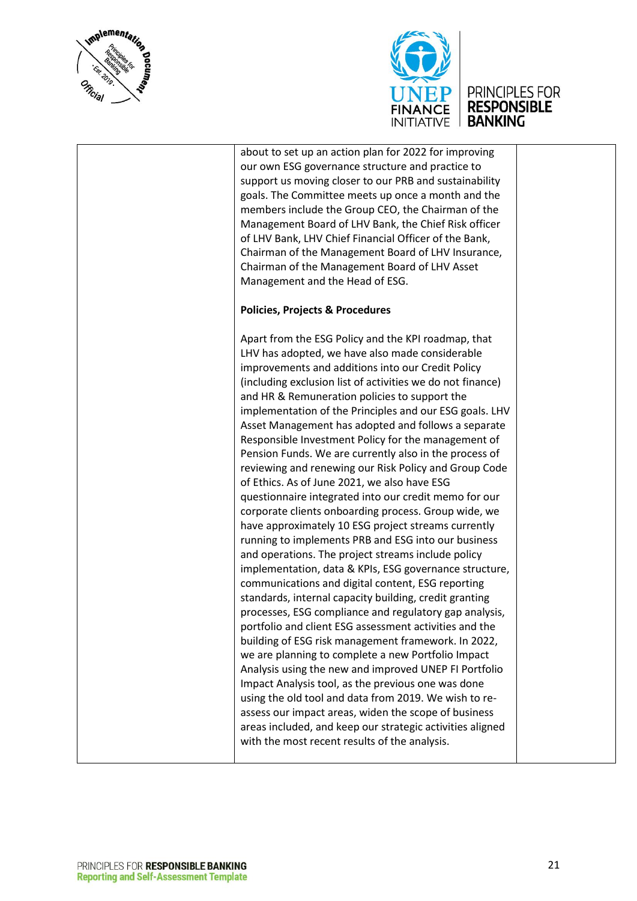



about to set up an action plan for 2022 for improving our own ESG governance structure and practice to support us moving closer to our PRB and sustainability goals. The Committee meets up once a month and the members include the Group CEO, the Chairman of the Management Board of LHV Bank, the Chief Risk officer of LHV Bank, LHV Chief Financial Officer of the Bank, Chairman of the Management Board of LHV Insurance, Chairman of the Management Board of LHV Asset Management and the Head of ESG.

#### **Policies, Projects & Procedures**

Apart from the ESG Policy and the KPI roadmap, that LHV has adopted, we have also made considerable improvements and additions into our Credit Policy (including exclusion list of activities we do not finance) and HR & Remuneration policies to support the implementation of the Principles and our ESG goals. LHV Asset Management has adopted and follows a separate Responsible Investment Policy for the management of Pension Funds. We are currently also in the process of reviewing and renewing our Risk Policy and Group Code of Ethics. As of June 2021, we also have ESG questionnaire integrated into our credit memo for our corporate clients onboarding process. Group wide, we have approximately 10 ESG project streams currently running to implements PRB and ESG into our business and operations. The project streams include policy implementation, data & KPIs, ESG governance structure, communications and digital content, ESG reporting standards, internal capacity building, credit granting processes, ESG compliance and regulatory gap analysis, portfolio and client ESG assessment activities and the building of ESG risk management framework. In 2022, we are planning to complete a new Portfolio Impact Analysis using the new and improved UNEP FI Portfolio Impact Analysis tool, as the previous one was done using the old tool and data from 2019. We wish to reassess our impact areas, widen the scope of business areas included, and keep our strategic activities aligned with the most recent results of the analysis.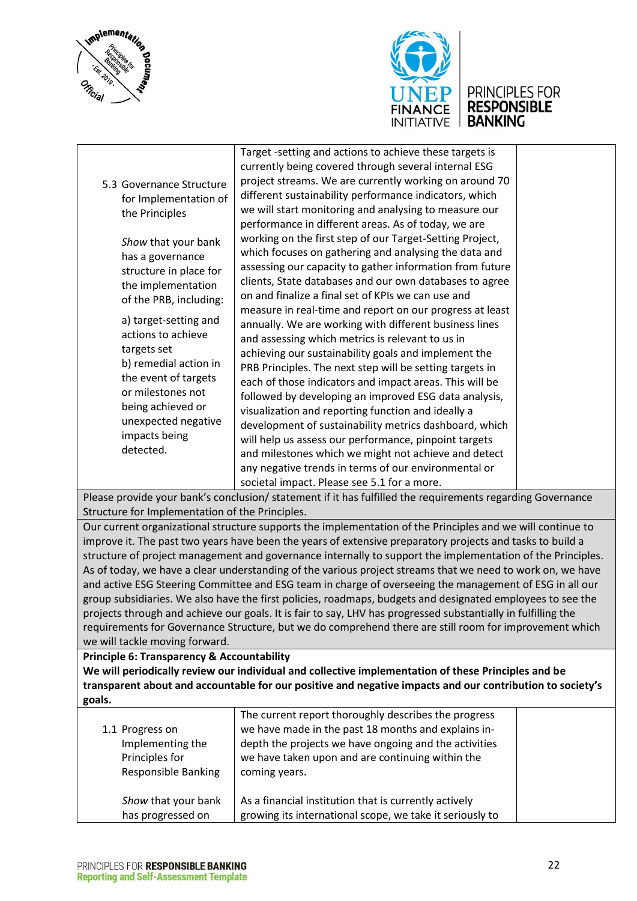



# UNEP PRINCIPLES FOR<br>FINANCE RESPONSIBLE<br>INITIATIVE BANKING

|                                                       | Target -setting and actions to achieve these targets is                                                       |  |
|-------------------------------------------------------|---------------------------------------------------------------------------------------------------------------|--|
|                                                       | currently being covered through several internal ESG                                                          |  |
| 5.3 Governance Structure                              | project streams. We are currently working on around 70                                                        |  |
| for Implementation of                                 | different sustainability performance indicators, which                                                        |  |
| the Principles                                        | we will start monitoring and analysing to measure our                                                         |  |
|                                                       | performance in different areas. As of today, we are                                                           |  |
| Show that your bank                                   | working on the first step of our Target-Setting Project,                                                      |  |
| has a governance                                      | which focuses on gathering and analysing the data and                                                         |  |
| structure in place for                                | assessing our capacity to gather information from future                                                      |  |
| the implementation                                    | clients, State databases and our own databases to agree                                                       |  |
| of the PRB, including:                                | on and finalize a final set of KPIs we can use and                                                            |  |
|                                                       | measure in real-time and report on our progress at least                                                      |  |
| a) target-setting and                                 | annually. We are working with different business lines                                                        |  |
| actions to achieve                                    | and assessing which metrics is relevant to us in                                                              |  |
| targets set                                           | achieving our sustainability goals and implement the                                                          |  |
| b) remedial action in                                 | PRB Principles. The next step will be setting targets in                                                      |  |
| the event of targets                                  | each of those indicators and impact areas. This will be                                                       |  |
| or milestones not                                     | followed by developing an improved ESG data analysis,                                                         |  |
| being achieved or                                     | visualization and reporting function and ideally a                                                            |  |
| unexpected negative                                   | development of sustainability metrics dashboard, which                                                        |  |
| impacts being                                         | will help us assess our performance, pinpoint targets                                                         |  |
| detected.                                             | and milestones which we might not achieve and detect                                                          |  |
|                                                       | any negative trends in terms of our environmental or                                                          |  |
|                                                       | societal impact. Please see 5.1 for a more.                                                                   |  |
|                                                       | Please provide your bank's conclusion/ statement if it has fulfilled the requirements regarding Governance    |  |
| Structure for Implementation of the Principles.       |                                                                                                               |  |
|                                                       | Our current organizational structure supports the implementation of the Principles and we will continue to    |  |
|                                                       | improve it. The past two years have been the years of extensive preparatory projects and tasks to build a     |  |
|                                                       | structure of project management and governance internally to support the implementation of the Principles.    |  |
|                                                       | As of today, we have a clear understanding of the various project streams that we need to work on, we have    |  |
|                                                       | and active ESG Steering Committee and ESG team in charge of overseeing the management of ESG in all our       |  |
|                                                       | group subsidiaries. We also have the first policies, roadmaps, budgets and designated employees to see the    |  |
|                                                       | projects through and achieve our goals. It is fair to say, LHV has progressed substantially in fulfilling the |  |
|                                                       | requirements for Governance Structure, but we do comprehend there are still room for improvement which        |  |
| we will tackle moving forward.                        |                                                                                                               |  |
| <b>Principle 6: Transparency &amp; Accountability</b> |                                                                                                               |  |
|                                                       | We will periodically review our individual and collective implementation of these Principles and be           |  |
|                                                       | transparent about and accountable for our positive and negative impacts and our contribution to society's     |  |
| goals.                                                |                                                                                                               |  |
|                                                       | The current report thoroughly describes the progress                                                          |  |
| 1.1 Progress on                                       | we have made in the past 18 months and explains in-                                                           |  |
| Implementing the                                      | depth the projects we have ongoing and the activities                                                         |  |
| Principles for                                        | we have taken upon and are continuing within the                                                              |  |
| Responsible Banking                                   | coming years.                                                                                                 |  |
|                                                       |                                                                                                               |  |

| Show that your bank | As a financial institution that is currently actively    |
|---------------------|----------------------------------------------------------|
| has progressed on   | growing its international scope, we take it seriously to |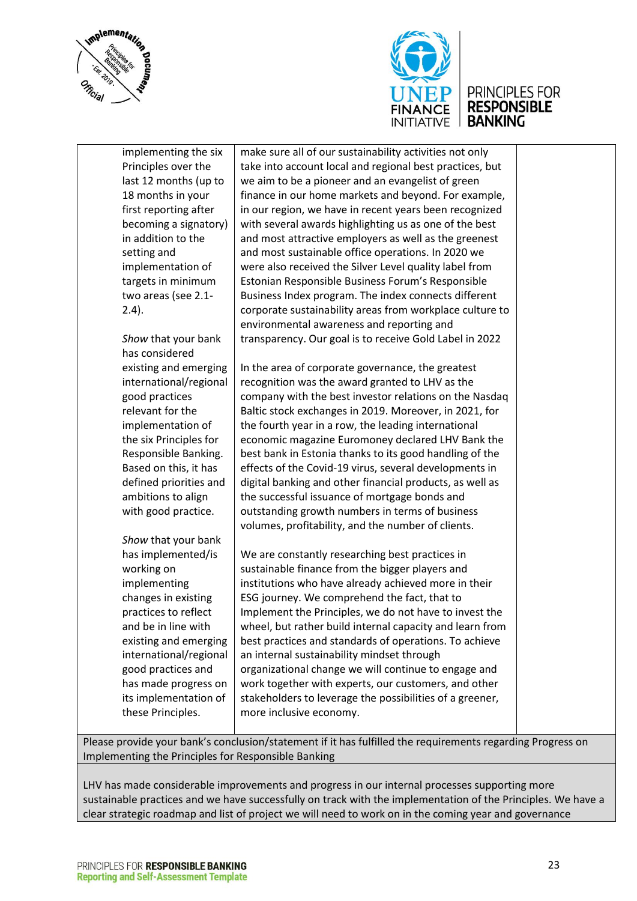



implementing the six Principles over the last 12 months (up to 18 months in your first reporting after becoming a signatory) in addition to the setting and implementation of targets in minimum two areas (see 2.1- 2.4).

*Show* that your bank has considered existing and emerging international/regional good practices relevant for the implementation of the six Principles for Responsible Banking. Based on this, it has defined priorities and ambitions to align with good practice.

*Show* that your bank has implemented/is working on implementing changes in existing practices to reflect and be in line with existing and emerging international/regional good practices and has made progress on its implementation of these Principles.

make sure all of our sustainability activities not only take into account local and regional best practices, but we aim to be a pioneer and an evangelist of green finance in our home markets and beyond. For example, in our region, we have in recent years been recognized with several awards highlighting us as one of the best and most attractive employers as well as the greenest and most sustainable office operations. In 2020 we were also received the Silver Level quality label from Estonian Responsible Business Forum's Responsible Business Index program. The index connects different corporate sustainability areas from workplace culture to environmental awareness and reporting and transparency. Our goal is to receive Gold Label in 2022

In the area of corporate governance, the greatest recognition was the award granted to LHV as the company with the best investor relations on the Nasdaq Baltic stock exchanges in 2019. Moreover, in 2021, for the fourth year in a row, the leading international economic magazine Euromoney declared LHV Bank the best bank in Estonia thanks to its good handling of the effects of the Covid-19 virus, several developments in digital banking and other financial products, as well as the successful issuance of mortgage bonds and outstanding growth numbers in terms of business volumes, profitability, and the number of clients.

We are constantly researching best practices in sustainable finance from the bigger players and institutions who have already achieved more in their ESG journey. We comprehend the fact, that to Implement the Principles, we do not have to invest the wheel, but rather build internal capacity and learn from best practices and standards of operations. To achieve an internal sustainability mindset through organizational change we will continue to engage and work together with experts, our customers, and other stakeholders to leverage the possibilities of a greener, more inclusive economy.

Please provide your bank's conclusion/statement if it has fulfilled the requirements regarding Progress on Implementing the Principles for Responsible Banking

LHV has made considerable improvements and progress in our internal processes supporting more sustainable practices and we have successfully on track with the implementation of the Principles. We have a clear strategic roadmap and list of project we will need to work on in the coming year and governance